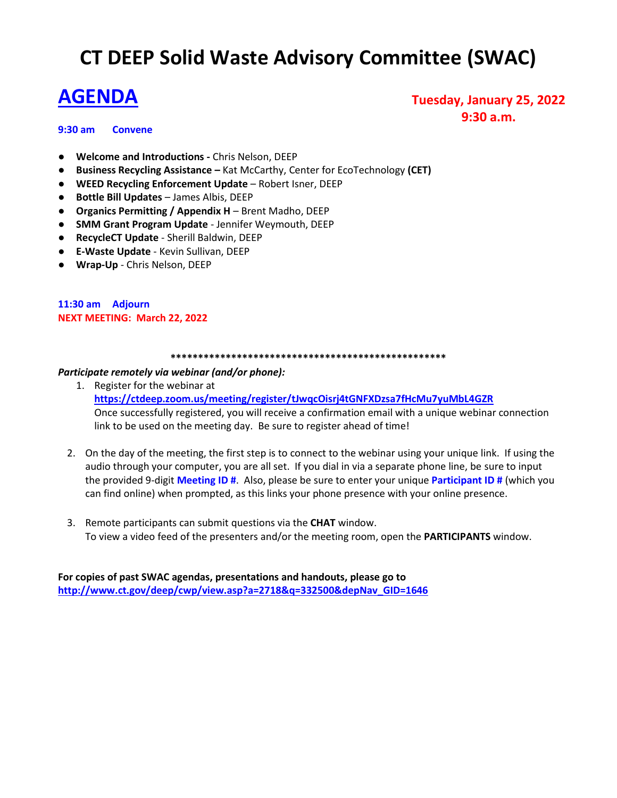# **CT DEEP Solid Waste Advisory Committee (SWAC)**

# **AGENDA**

# **9:30 am Convene**

**Tuesday, January 25, 2022 9:30 a.m.**

- **Welcome and Introductions -** Chris Nelson, DEEP
- **Business Recycling Assistance –** Kat McCarthy, Center for EcoTechnology **(CET)**
- **WEED Recycling Enforcement Update** Robert Isner, DEEP
- **Bottle Bill Updates** James Albis, DEEP
- **Organics Permitting / Appendix H** Brent Madho, DEEP
- **SMM Grant Program Update**  Jennifer Weymouth, DEEP
- **RecycleCT Update** Sherill Baldwin, DEEP
- **E-Waste Update**  Kevin Sullivan, DEEP
- **Wrap-Up** Chris Nelson, DEEP

## **11:30 am Adjourn NEXT MEETING: March 22, 2022**

#### **\*\*\*\*\*\*\*\*\*\*\*\*\*\*\*\*\*\*\*\*\*\*\*\*\*\*\*\*\*\*\*\*\*\*\*\*\*\*\*\*\*\*\*\*\*\*\*\*\*\***

## *Participate remotely via webinar (and/or phone):*

- 1. Register for the webinar at **<https://ctdeep.zoom.us/meeting/register/tJwqcOisrj4tGNFXDzsa7fHcMu7yuMbL4GZR>** Once successfully registered, you will receive a confirmation email with a unique webinar connection link to be used on the meeting day. Be sure to register ahead of time!
- 2. On the day of the meeting, the first step is to connect to the webinar using your unique link. If using the audio through your computer, you are all set. If you dial in via a separate phone line, be sure to input the provided 9-digit **Meeting ID #**. Also, please be sure to enter your unique **Participant ID #** (which you can find online) when prompted, as this links your phone presence with your online presence.
- 3. Remote participants can submit questions via the **CHAT** window. To view a video feed of the presenters and/or the meeting room, open the **PARTICIPANTS** window.

**For copies of past SWAC agendas, presentations and handouts, please go to [http://www.ct.gov/deep/cwp/view.asp?a=2718&q=332500&depNav\\_GID=1646](http://www.ct.gov/deep/cwp/view.asp?a=2718&q=332500&depNav_GID=1646)**